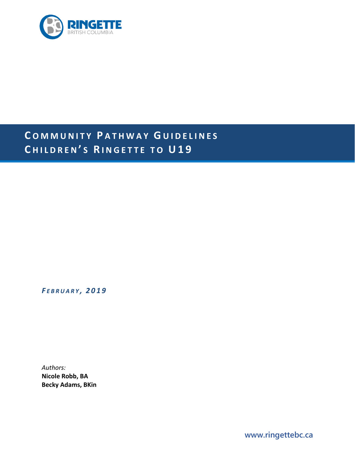

# **C O M MUNITY P ATHWAY G UIDELINES C HILDREN ' S R INGETTE T O U19**

*F EBRUARY , 2019*

*Authors:* **Nicole Robb, BA Becky Adams, BKin**

**www.ringettebc.ca**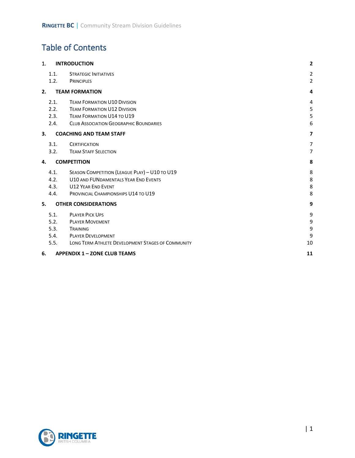# Table of Contents

| 1.                                        | <b>INTRODUCTION</b>                               | $\overline{2}$          |
|-------------------------------------------|---------------------------------------------------|-------------------------|
| 1.1.                                      | <b>STRATEGIC INITIATIVES</b>                      | $\overline{\mathbf{c}}$ |
| 1.2.                                      | <b>PRINCIPLES</b>                                 | $\overline{2}$          |
| 2.                                        | <b>TEAM FORMATION</b>                             | 4                       |
| 2.1.                                      | <b>TEAM FORMATION U10 DIVISION</b>                | 4                       |
| 2.2.                                      | <b>TEAM FORMATION U12 DIVISION</b>                | 5                       |
| 2.3.                                      | <b>TEAM FORMATION U14 TO U19</b>                  | 5                       |
| 2.4.                                      | <b>CLUB ASSOCIATION GEOGRAPHIC BOUNDARIES</b>     | 6                       |
| 3.<br><b>COACHING AND TEAM STAFF</b>      | 7                                                 |                         |
| 3.1.                                      | <b>CERTIFICATION</b>                              | 7                       |
| 3.2.                                      | <b>TEAM STAFF SELECTION</b>                       | $\overline{7}$          |
| 4.                                        | <b>COMPETITION</b>                                | 8                       |
| 4.1.                                      | SEASON COMPETITION (LEAGUE PLAY) - U10 TO U19     | 8                       |
| 4.2.                                      | U10 AND FUNDAMENTALS YEAR END EVENTS              | 8                       |
| 4.3.                                      | <b>U12 YEAR END EVENT</b>                         | 8                       |
| 4.4.                                      | PROVINCIAL CHAMPIONSHIPS U14 TO U19               | 8                       |
| 5.                                        | <b>OTHER CONSIDERATIONS</b>                       | 9                       |
| 5.1.                                      | <b>PLAYER PICK UPS</b>                            | 9                       |
| 5.2.                                      | <b>PLAYER MOVEMENT</b>                            | 9                       |
| 5.3.                                      | TRAINING                                          | 9                       |
| 5.4.                                      | <b>PLAYER DEVELOPMENT</b>                         | 9                       |
| 5.5.                                      | LONG TERM ATHLETE DEVELOPMENT STAGES OF COMMUNITY | 10                      |
| <b>APPENDIX 1 - ZONE CLUB TEAMS</b><br>6. | 11                                                |                         |

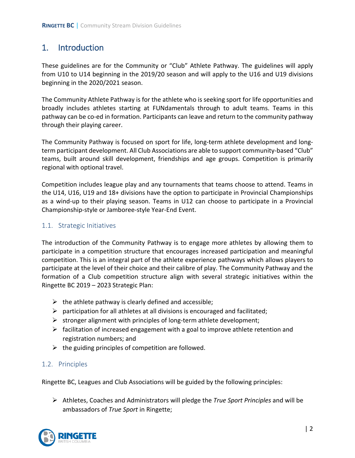## 1. Introduction

These guidelines are for the Community or "Club" Athlete Pathway. The guidelines will apply from U10 to U14 beginning in the 2019/20 season and will apply to the U16 and U19 divisions beginning in the 2020/2021 season.

The Community Athlete Pathway is for the athlete who is seeking sport for life opportunities and broadly includes athletes starting at FUNdamentals through to adult teams. Teams in this pathway can be co-ed in formation. Participants can leave and return to the community pathway through their playing career.

The Community Pathway is focused on sport for life, long-term athlete development and longterm participant development. All Club Associations are able to support community-based "Club" teams, built around skill development, friendships and age groups. Competition is primarily regional with optional travel.

Competition includes league play and any tournaments that teams choose to attend. Teams in the U14, U16, U19 and 18+ divisions have the option to participate in Provincial Championships as a wind-up to their playing season. Teams in U12 can choose to participate in a Provincial Championship-style or Jamboree-style Year-End Event.

#### 1.1. Strategic Initiatives

The introduction of the Community Pathway is to engage more athletes by allowing them to participate in a competition structure that encourages increased participation and meaningful competition. This is an integral part of the athlete experience pathways which allows players to participate at the level of their choice and their calibre of play. The Community Pathway and the formation of a Club competition structure align with several strategic initiatives within the Ringette BC 2019 – 2023 Strategic Plan:

- $\triangleright$  the athlete pathway is clearly defined and accessible;
- $\triangleright$  participation for all athletes at all divisions is encouraged and facilitated;
- $\triangleright$  stronger alignment with principles of long-term athlete development;
- $\triangleright$  facilitation of increased engagement with a goal to improve athlete retention and registration numbers; and
- $\triangleright$  the guiding principles of competition are followed.

#### 1.2. Principles

Ringette BC, Leagues and Club Associations will be guided by the following principles:

 Athletes, Coaches and Administrators will pledge the *True Sport Principles* and will be ambassadors of *True Sport* in Ringette;

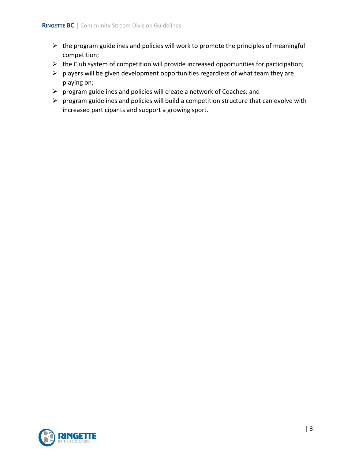- $\triangleright$  the program guidelines and policies will work to promote the principles of meaningful competition;
- $\triangleright$  the Club system of competition will provide increased opportunities for participation;
- $\triangleright$  players will be given development opportunities regardless of what team they are playing on;
- $\triangleright$  program guidelines and policies will create a network of Coaches; and
- $\triangleright$  program guidelines and policies will build a competition structure that can evolve with increased participants and support a growing sport.

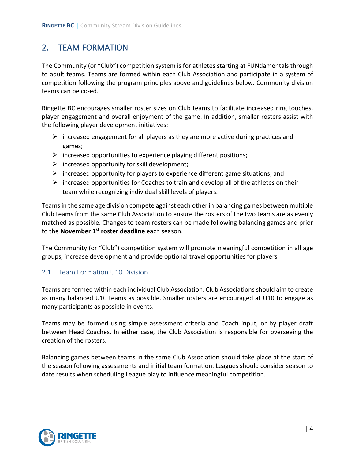# 2. TEAM FORMATION

The Community (or "Club") competition system is for athletes starting at FUNdamentals through to adult teams. Teams are formed within each Club Association and participate in a system of competition following the program principles above and guidelines below. Community division teams can be co-ed.

Ringette BC encourages smaller roster sizes on Club teams to facilitate increased ring touches, player engagement and overall enjoyment of the game. In addition, smaller rosters assist with the following player development initiatives:

- $\triangleright$  increased engagement for all players as they are more active during practices and games;
- $\triangleright$  increased opportunities to experience playing different positions;
- $\triangleright$  increased opportunity for skill development;
- $\triangleright$  increased opportunity for players to experience different game situations; and
- $\triangleright$  increased opportunities for Coaches to train and develop all of the athletes on their team while recognizing individual skill levels of players.

Teamsin the same age division compete against each other in balancing games between multiple Club teams from the same Club Association to ensure the rosters of the two teams are as evenly matched as possible. Changes to team rosters can be made following balancing games and prior to the **November 1st roster deadline** each season.

The Community (or "Club") competition system will promote meaningful competition in all age groups, increase development and provide optional travel opportunities for players.

### 2.1. Team Formation U10 Division

Teams are formed within each individual Club Association. Club Associations should aim to create as many balanced U10 teams as possible. Smaller rosters are encouraged at U10 to engage as many participants as possible in events.

Teams may be formed using simple assessment criteria and Coach input, or by player draft between Head Coaches. In either case, the Club Association is responsible for overseeing the creation of the rosters.

Balancing games between teams in the same Club Association should take place at the start of the season following assessments and initial team formation. Leagues should consider season to date results when scheduling League play to influence meaningful competition.

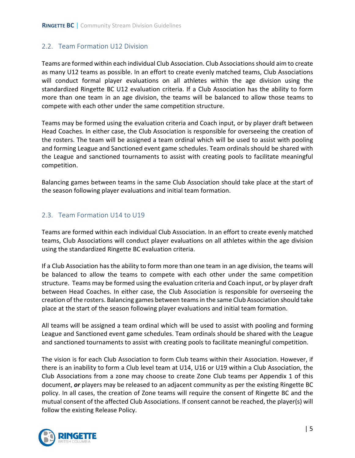### 2.2. Team Formation U12 Division

Teams are formed within each individual Club Association. Club Associations should aim to create as many U12 teams as possible. In an effort to create evenly matched teams, Club Associations will conduct formal player evaluations on all athletes within the age division using the standardized Ringette BC U12 evaluation criteria. If a Club Association has the ability to form more than one team in an age division, the teams will be balanced to allow those teams to compete with each other under the same competition structure.

Teams may be formed using the evaluation criteria and Coach input, or by player draft between Head Coaches. In either case, the Club Association is responsible for overseeing the creation of the rosters. The team will be assigned a team ordinal which will be used to assist with pooling and forming League and Sanctioned event game schedules. Team ordinals should be shared with the League and sanctioned tournaments to assist with creating pools to facilitate meaningful competition.

Balancing games between teams in the same Club Association should take place at the start of the season following player evaluations and initial team formation.

### 2.3. Team Formation U14 to U19

Teams are formed within each individual Club Association. In an effort to create evenly matched teams, Club Associations will conduct player evaluations on all athletes within the age division using the standardized Ringette BC evaluation criteria.

If a Club Association has the ability to form more than one team in an age division, the teams will be balanced to allow the teams to compete with each other under the same competition structure. Teams may be formed using the evaluation criteria and Coach input, or by player draft between Head Coaches. In either case, the Club Association is responsible for overseeing the creation of the rosters. Balancing games between teams in the same Club Association should take place at the start of the season following player evaluations and initial team formation.

All teams will be assigned a team ordinal which will be used to assist with pooling and forming League and Sanctioned event game schedules. Team ordinals should be shared with the League and sanctioned tournaments to assist with creating pools to facilitate meaningful competition.

The vision is for each Club Association to form Club teams within their Association. However, if there is an inability to form a Club level team at U14, U16 or U19 within a Club Association, the Club Associations from a zone may choose to create Zone Club teams per Appendix 1 of this document, *or* players may be released to an adjacent community as per the existing Ringette BC policy. In all cases, the creation of Zone teams will require the consent of Ringette BC and the mutual consent of the affected Club Associations. If consent cannot be reached, the player(s) will follow the existing Release Policy.

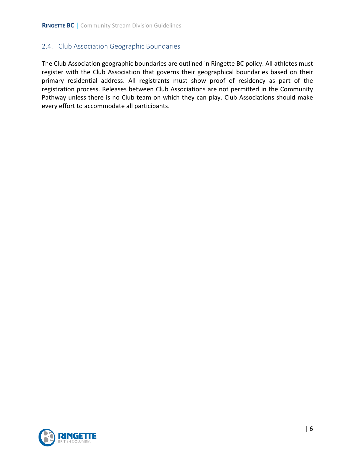#### 2.4. Club Association Geographic Boundaries

The Club Association geographic boundaries are outlined in Ringette BC policy. All athletes must register with the Club Association that governs their geographical boundaries based on their primary residential address. All registrants must show proof of residency as part of the registration process. Releases between Club Associations are not permitted in the Community Pathway unless there is no Club team on which they can play. Club Associations should make every effort to accommodate all participants.

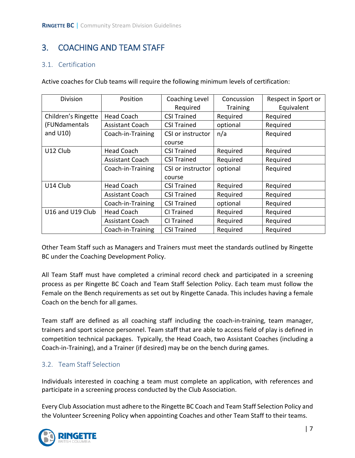# 3. COACHING AND TEAM STAFF

### 3.1. Certification

Active coaches for Club teams will require the following minimum levels of certification:

| Division            | Position               | Coaching Level     | Concussion      | Respect in Sport or |
|---------------------|------------------------|--------------------|-----------------|---------------------|
|                     |                        | Required           | <b>Training</b> | Equivalent          |
| Children's Ringette | <b>Head Coach</b>      | <b>CSI Trained</b> | Required        | Required            |
| (FUNdamentals       | <b>Assistant Coach</b> | <b>CSI Trained</b> | optional        | Required            |
| and $U10$ )         | Coach-in-Training      | CSI or instructor  | n/a             | Required            |
|                     |                        | course             |                 |                     |
| U12 Club            | <b>Head Coach</b>      | <b>CSI Trained</b> | Required        | Required            |
|                     | <b>Assistant Coach</b> | <b>CSI Trained</b> | Required        | Required            |
|                     | Coach-in-Training      | CSI or instructor  | optional        | Required            |
|                     |                        | course             |                 |                     |
| U14 Club            | <b>Head Coach</b>      | <b>CSI Trained</b> | Required        | Required            |
|                     | <b>Assistant Coach</b> | <b>CSI Trained</b> | Required        | Required            |
|                     | Coach-in-Training      | <b>CSI Trained</b> | optional        | Required            |
| U16 and U19 Club    | <b>Head Coach</b>      | CI Trained         | Required        | Required            |
|                     | <b>Assistant Coach</b> | CI Trained         | Required        | Required            |
|                     | Coach-in-Training      | <b>CSI Trained</b> | Required        | Required            |

Other Team Staff such as Managers and Trainers must meet the standards outlined by Ringette BC under the Coaching Development Policy.

All Team Staff must have completed a criminal record check and participated in a screening process as per Ringette BC Coach and Team Staff Selection Policy. Each team must follow the Female on the Bench requirements as set out by Ringette Canada. This includes having a female Coach on the bench for all games.

Team staff are defined as all coaching staff including the coach-in-training, team manager, trainers and sport science personnel. Team staff that are able to access field of play is defined in competition technical packages. Typically, the Head Coach, two Assistant Coaches (including a Coach-in-Training), and a Trainer (if desired) may be on the bench during games.

### 3.2. Team Staff Selection

Individuals interested in coaching a team must complete an application, with references and participate in a screening process conducted by the Club Association.

Every Club Association must adhere to the Ringette BC Coach and Team Staff Selection Policy and the Volunteer Screening Policy when appointing Coaches and other Team Staff to their teams.

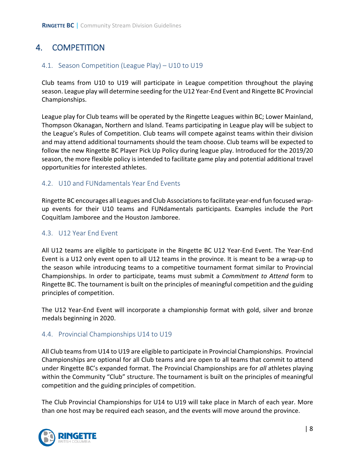# 4. COMPETITION

#### 4.1. Season Competition (League Play) – U10 to U19

Club teams from U10 to U19 will participate in League competition throughout the playing season. League play will determine seeding for the U12 Year-End Event and Ringette BC Provincial Championships.

League play for Club teams will be operated by the Ringette Leagues within BC; Lower Mainland, Thompson Okanagan, Northern and Island. Teams participating in League play will be subject to the League's Rules of Competition. Club teams will compete against teams within their division and may attend additional tournaments should the team choose. Club teams will be expected to follow the new Ringette BC Player Pick Up Policy during league play. Introduced for the 2019/20 season, the more flexible policy is intended to facilitate game play and potential additional travel opportunities for interested athletes.

#### 4.2. U10 and FUNdamentals Year End Events

Ringette BC encourages all Leagues and Club Associations to facilitate year-end fun focused wrapup events for their U10 teams and FUNdamentals participants. Examples include the Port Coquitlam Jamboree and the Houston Jamboree.

#### 4.3. U12 Year End Event

All U12 teams are eligible to participate in the Ringette BC U12 Year-End Event. The Year-End Event is a U12 only event open to all U12 teams in the province. It is meant to be a wrap-up to the season while introducing teams to a competitive tournament format similar to Provincial Championships. In order to participate, teams must submit a *Commitment to Attend* form to Ringette BC. The tournament is built on the principles of meaningful competition and the guiding principles of competition.

The U12 Year-End Event will incorporate a championship format with gold, silver and bronze medals beginning in 2020.

#### 4.4. Provincial Championships U14 to U19

All Club teams from U14 to U19 are eligible to participate in Provincial Championships. Provincial Championships are optional for all Club teams and are open to all teams that commit to attend under Ringette BC's expanded format. The Provincial Championships are for *all* athletes playing within the Community "Club" structure. The tournament is built on the principles of meaningful competition and the guiding principles of competition.

The Club Provincial Championships for U14 to U19 will take place in March of each year. More than one host may be required each season, and the events will move around the province.

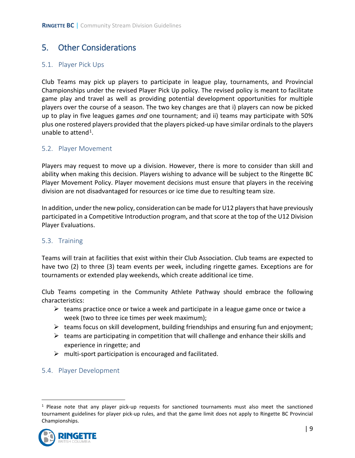## 5. Other Considerations

#### 5.1. Player Pick Ups

Club Teams may pick up players to participate in league play, tournaments, and Provincial Championships under the revised Player Pick Up policy. The revised policy is meant to facilitate game play and travel as well as providing potential development opportunities for multiple players over the course of a season. The two key changes are that i) players can now be picked up to play in five leagues games *and* one tournament; and ii) teams may participate with 50% plus one rostered players provided that the players picked-up have similar ordinals to the players unable to attend<sup>[1](#page-9-0)</sup>.

#### 5.2. Player Movement

Players may request to move up a division. However, there is more to consider than skill and ability when making this decision. Players wishing to advance will be subject to the Ringette BC Player Movement Policy. Player movement decisions must ensure that players in the receiving division are not disadvantaged for resources or ice time due to resulting team size.

In addition, under the new policy, consideration can be made for U12 players that have previously participated in a Competitive Introduction program, and that score at the top of the U12 Division Player Evaluations.

#### 5.3. Training

Teams will train at facilities that exist within their Club Association. Club teams are expected to have two (2) to three (3) team events per week, including ringette games. Exceptions are for tournaments or extended play weekends, which create additional ice time.

Club Teams competing in the Community Athlete Pathway should embrace the following characteristics:

- $\triangleright$  teams practice once or twice a week and participate in a league game once or twice a week (two to three ice times per week maximum);
- $\triangleright$  teams focus on skill development, building friendships and ensuring fun and enjoyment;
- $\triangleright$  teams are participating in competition that will challenge and enhance their skills and experience in ringette; and
- $\triangleright$  multi-sport participation is encouraged and facilitated.
- 5.4. Player Development

<span id="page-9-0"></span> $1$  Please note that any player pick-up requests for sanctioned tournaments must also meet the sanctioned tournament guidelines for player pick-up rules, and that the game limit does not apply to Ringette BC Provincial Championships.

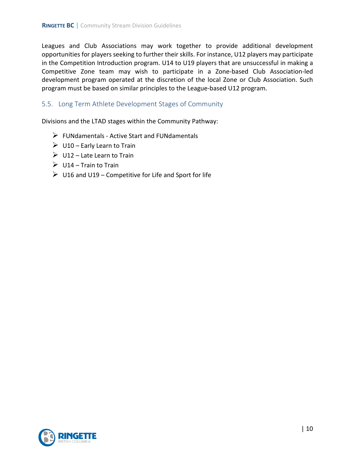Leagues and Club Associations may work together to provide additional development opportunities for players seeking to further their skills. For instance, U12 players may participate in the Competition Introduction program. U14 to U19 players that are unsuccessful in making a Competitive Zone team may wish to participate in a Zone-based Club Association-led development program operated at the discretion of the local Zone or Club Association. Such program must be based on similar principles to the League-based U12 program.

#### 5.5. Long Term Athlete Development Stages of Community

Divisions and the LTAD stages within the Community Pathway:

- $\triangleright$  FUNdamentals Active Start and FUNdamentals
- $\triangleright$  U10 Early Learn to Train
- $\triangleright$  U12 Late Learn to Train
- $\triangleright$  U14 Train to Train
- $\triangleright$  U16 and U19 Competitive for Life and Sport for life

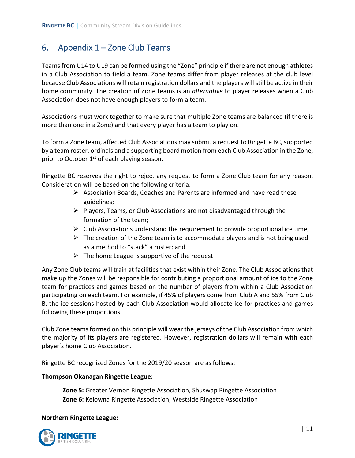## 6. Appendix 1 – Zone Club Teams

Teams from U14 to U19 can be formed using the "Zone" principle if there are not enough athletes in a Club Association to field a team. Zone teams differ from player releases at the club level because Club Associations will retain registration dollars and the players will still be active in their home community. The creation of Zone teams is an *alternative* to player releases when a Club Association does not have enough players to form a team.

Associations must work together to make sure that multiple Zone teams are balanced (if there is more than one in a Zone) and that every player has a team to play on.

To form a Zone team, affected Club Associations may submit a request to Ringette BC, supported by a team roster, ordinals and a supporting board motion from each Club Association in the Zone, prior to October 1<sup>st</sup> of each playing season.

Ringette BC reserves the right to reject any request to form a Zone Club team for any reason. Consideration will be based on the following criteria:

- $\triangleright$  Association Boards, Coaches and Parents are informed and have read these guidelines;
- $\triangleright$  Players, Teams, or Club Associations are not disadvantaged through the formation of the team;
- $\triangleright$  Club Associations understand the requirement to provide proportional ice time;
- $\triangleright$  The creation of the Zone team is to accommodate players and is not being used as a method to "stack" a roster; and
- $\triangleright$  The home League is supportive of the request

Any Zone Club teams will train at facilities that exist within their Zone. The Club Associations that make up the Zones will be responsible for contributing a proportional amount of ice to the Zone team for practices and games based on the number of players from within a Club Association participating on each team. For example, if 45% of players come from Club A and 55% from Club B, the ice sessions hosted by each Club Association would allocate ice for practices and games following these proportions.

Club Zone teams formed on this principle will wear the jerseys of the Club Association from which the majority of its players are registered. However, registration dollars will remain with each player's home Club Association.

Ringette BC recognized Zones for the 2019/20 season are as follows:

#### **Thompson Okanagan Ringette League:**

**Zone 5:** Greater Vernon Ringette Association, Shuswap Ringette Association **Zone 6:** Kelowna Ringette Association, Westside Ringette Association

#### **Northern Ringette League:**